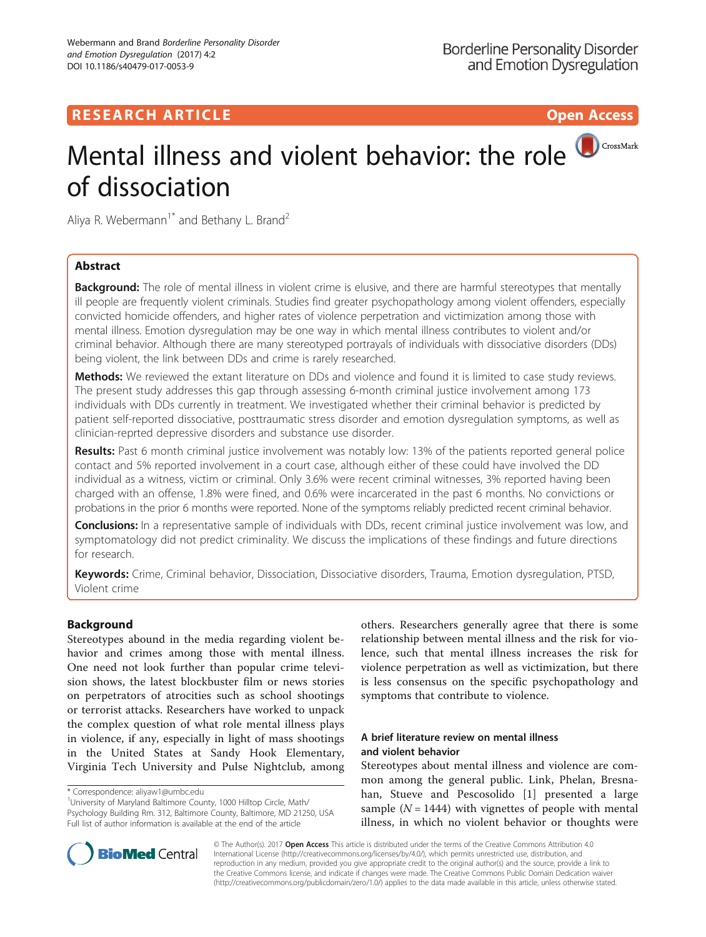## **RESEARCH ARTICLE Example 2018 12:30 THE Open Access**

# Mental illness and violent behavior: the role **O**CrossMark of dissociation

Aliya R. Webermann<sup>1\*</sup> and Bethany L. Brand<sup>2</sup>

## Abstract

**Background:** The role of mental illness in violent crime is elusive, and there are harmful stereotypes that mentally ill people are frequently violent criminals. Studies find greater psychopathology among violent offenders, especially convicted homicide offenders, and higher rates of violence perpetration and victimization among those with mental illness. Emotion dysregulation may be one way in which mental illness contributes to violent and/or criminal behavior. Although there are many stereotyped portrayals of individuals with dissociative disorders (DDs) being violent, the link between DDs and crime is rarely researched.

Methods: We reviewed the extant literature on DDs and violence and found it is limited to case study reviews. The present study addresses this gap through assessing 6-month criminal justice involvement among 173 individuals with DDs currently in treatment. We investigated whether their criminal behavior is predicted by patient self-reported dissociative, posttraumatic stress disorder and emotion dysregulation symptoms, as well as clinician-reprted depressive disorders and substance use disorder.

Results: Past 6 month criminal justice involvement was notably low: 13% of the patients reported general police contact and 5% reported involvement in a court case, although either of these could have involved the DD individual as a witness, victim or criminal. Only 3.6% were recent criminal witnesses, 3% reported having been charged with an offense, 1.8% were fined, and 0.6% were incarcerated in the past 6 months. No convictions or probations in the prior 6 months were reported. None of the symptoms reliably predicted recent criminal behavior.

Conclusions: In a representative sample of individuals with DDs, recent criminal justice involvement was low, and symptomatology did not predict criminality. We discuss the implications of these findings and future directions for research.

Keywords: Crime, Criminal behavior, Dissociation, Dissociative disorders, Trauma, Emotion dysregulation, PTSD, Violent crime

## Background

Stereotypes abound in the media regarding violent behavior and crimes among those with mental illness. One need not look further than popular crime television shows, the latest blockbuster film or news stories on perpetrators of atrocities such as school shootings or terrorist attacks. Researchers have worked to unpack the complex question of what role mental illness plays in violence, if any, especially in light of mass shootings in the United States at Sandy Hook Elementary, Virginia Tech University and Pulse Nightclub, among

University of Maryland Baltimore County, 1000 Hilltop Circle, Math/ Psychology Building Rm. 312, Baltimore County, Baltimore, MD 21250, USA Full list of author information is available at the end of the article

others. Researchers generally agree that there is some relationship between mental illness and the risk for violence, such that mental illness increases the risk for violence perpetration as well as victimization, but there is less consensus on the specific psychopathology and symptoms that contribute to violence.

## A brief literature review on mental illness and violent behavior

Stereotypes about mental illness and violence are common among the general public. Link, Phelan, Bresnahan, Stueve and Pescosolido [[1\]](#page-11-0) presented a large sample  $(N = 1444)$  with vignettes of people with mental illness, in which no violent behavior or thoughts were



© The Author(s). 2017 Open Access This article is distributed under the terms of the Creative Commons Attribution 4.0 International License [\(http://creativecommons.org/licenses/by/4.0/](http://creativecommons.org/licenses/by/4.0/)), which permits unrestricted use, distribution, and reproduction in any medium, provided you give appropriate credit to the original author(s) and the source, provide a link to the Creative Commons license, and indicate if changes were made. The Creative Commons Public Domain Dedication waiver [\(http://creativecommons.org/publicdomain/zero/1.0/](http://creativecommons.org/publicdomain/zero/1.0/)) applies to the data made available in this article, unless otherwise stated.

<sup>\*</sup> Correspondence: [aliyaw1@umbc.edu](mailto:aliyaw1@umbc.edu) <sup>1</sup>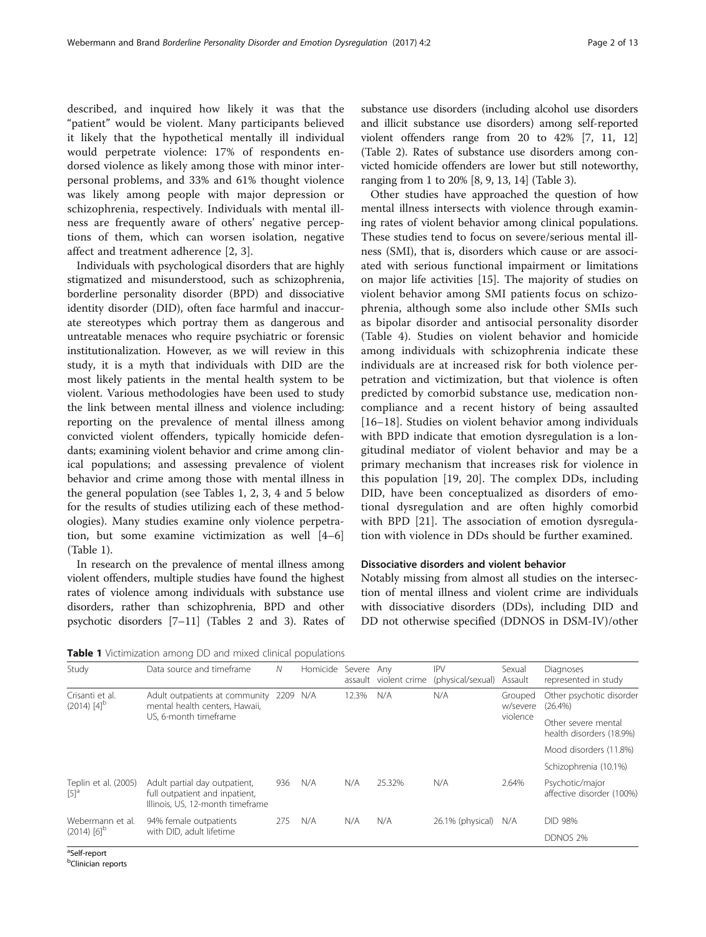described, and inquired how likely it was that the "patient" would be violent. Many participants believed it likely that the hypothetical mentally ill individual would perpetrate violence: 17% of respondents endorsed violence as likely among those with minor interpersonal problems, and 33% and 61% thought violence was likely among people with major depression or schizophrenia, respectively. Individuals with mental illness are frequently aware of others' negative perceptions of them, which can worsen isolation, negative affect and treatment adherence [[2, 3](#page-11-0)].

Individuals with psychological disorders that are highly stigmatized and misunderstood, such as schizophrenia, borderline personality disorder (BPD) and dissociative identity disorder (DID), often face harmful and inaccurate stereotypes which portray them as dangerous and untreatable menaces who require psychiatric or forensic institutionalization. However, as we will review in this study, it is a myth that individuals with DID are the most likely patients in the mental health system to be violent. Various methodologies have been used to study the link between mental illness and violence including: reporting on the prevalence of mental illness among convicted violent offenders, typically homicide defendants; examining violent behavior and crime among clinical populations; and assessing prevalence of violent behavior and crime among those with mental illness in the general population (see Tables 1, [2](#page-2-0), [3](#page-3-0), [4](#page-4-0) and [5](#page-5-0) below for the results of studies utilizing each of these methodologies). Many studies examine only violence perpetration, but some examine victimization as well [[4](#page-11-0)–[6](#page-11-0)] (Table 1).

In research on the prevalence of mental illness among violent offenders, multiple studies have found the highest rates of violence among individuals with substance use disorders, rather than schizophrenia, BPD and other psychotic disorders [\[7](#page-11-0)–[11\]](#page-11-0) (Tables [2](#page-2-0) and [3\)](#page-3-0). Rates of substance use disorders (including alcohol use disorders and illicit substance use disorders) among self-reported violent offenders range from 20 to 42% [[7, 11](#page-11-0), [12](#page-11-0)] (Table [2\)](#page-2-0). Rates of substance use disorders among convicted homicide offenders are lower but still noteworthy, ranging from 1 to 20% [\[8](#page-11-0), [9, 13, 14](#page-11-0)] (Table [3](#page-3-0)).

Other studies have approached the question of how mental illness intersects with violence through examining rates of violent behavior among clinical populations. These studies tend to focus on severe/serious mental illness (SMI), that is, disorders which cause or are associated with serious functional impairment or limitations on major life activities [\[15](#page-11-0)]. The majority of studies on violent behavior among SMI patients focus on schizophrenia, although some also include other SMIs such as bipolar disorder and antisocial personality disorder (Table [4](#page-4-0)). Studies on violent behavior and homicide among individuals with schizophrenia indicate these individuals are at increased risk for both violence perpetration and victimization, but that violence is often predicted by comorbid substance use, medication noncompliance and a recent history of being assaulted [[16](#page-11-0)–[18](#page-11-0)]. Studies on violent behavior among individuals with BPD indicate that emotion dysregulation is a longitudinal mediator of violent behavior and may be a primary mechanism that increases risk for violence in this population [[19](#page-11-0), [20\]](#page-11-0). The complex DDs, including DID, have been conceptualized as disorders of emotional dysregulation and are often highly comorbid with BPD [[21\]](#page-11-0). The association of emotion dysregulation with violence in DDs should be further examined.

## Dissociative disorders and violent behavior

Notably missing from almost all studies on the intersection of mental illness and violent crime are individuals with dissociative disorders (DDs), including DID and DD not otherwise specified (DDNOS in DSM-IV)/other

**Table 1** Victimization among DD and mixed clinical populations

| Data source and timeframe                                                                           | N                                                 |     |          |        | <b>IPV</b><br>(physical/sexual)     | Sexual<br>Assault   | Diagnoses<br>represented in study               |
|-----------------------------------------------------------------------------------------------------|---------------------------------------------------|-----|----------|--------|-------------------------------------|---------------------|-------------------------------------------------|
| Adult outpatients at community<br>mental health centers, Hawaii,                                    | 2209                                              | N/A | 12.3%    | N/A    | N/A                                 | Grouped<br>w/severe | Other psychotic disorder<br>$(26.4\%)$          |
|                                                                                                     |                                                   |     |          |        |                                     |                     | Other severe mental<br>health disorders (18.9%) |
|                                                                                                     |                                                   |     |          |        |                                     |                     | Mood disorders (11.8%)                          |
|                                                                                                     |                                                   |     |          |        |                                     |                     | Schizophrenia (10.1%)                           |
| Adult partial day outpatient,<br>full outpatient and inpatient,<br>Illinois, US, 12-month timeframe | 936                                               | N/A | N/A      | 25.32% | N/A                                 | 2.64%               | Psychotic/major<br>affective disorder (100%)    |
| 94% female outpatients                                                                              | 275                                               | N/A | N/A      | N/A    | 26.1% (physical)                    | N/A                 | <b>DID 98%</b>                                  |
|                                                                                                     |                                                   |     |          |        |                                     |                     | DDNOS 2%                                        |
|                                                                                                     | US, 6-month timeframe<br>with DID, adult lifetime |     | Homicide |        | Severe Any<br>assault violent crime |                     | violence                                        |

<sup>a</sup>Self-report

<sup>b</sup>Clinician reports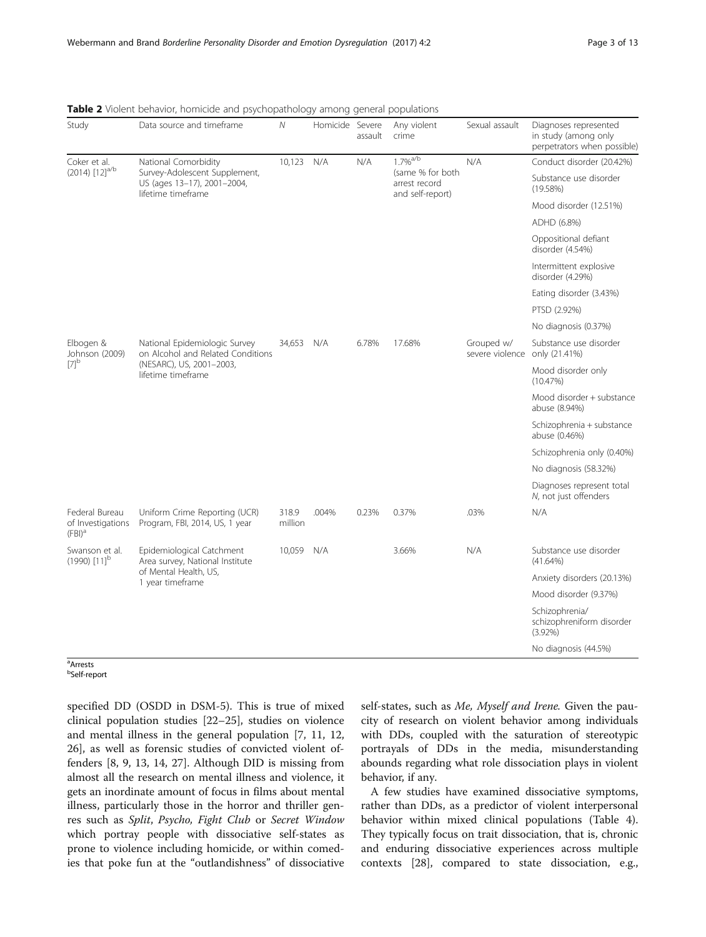| Study                                            | Data source and timeframe                                                          | N                | Homicide Severe | assault | Any violent<br>crime                                  | Sexual assault                | Diagnoses represented<br>in study (among only<br>perpetrators when possible) |
|--------------------------------------------------|------------------------------------------------------------------------------------|------------------|-----------------|---------|-------------------------------------------------------|-------------------------------|------------------------------------------------------------------------------|
| Coker et al.                                     | National Comorbidity                                                               | 10,123           | N/A             | N/A     | $1.7\%$ <sup>a/b</sup>                                | N/A                           | Conduct disorder (20.42%)                                                    |
| $(2014)$ $[12]$ <sup>a/b</sup>                   | Survey-Adolescent Supplement,<br>US (ages 13-17), 2001-2004,<br>lifetime timeframe |                  |                 |         | (same % for both<br>arrest record<br>and self-report) |                               | Substance use disorder<br>(19.58%)                                           |
|                                                  |                                                                                    |                  |                 |         |                                                       |                               | Mood disorder (12.51%)                                                       |
|                                                  |                                                                                    |                  |                 |         |                                                       |                               | ADHD (6.8%)                                                                  |
|                                                  |                                                                                    |                  |                 |         |                                                       |                               | Oppositional defiant<br>disorder (4.54%)                                     |
|                                                  |                                                                                    |                  |                 |         |                                                       |                               | Intermittent explosive<br>disorder (4.29%)                                   |
|                                                  |                                                                                    |                  |                 |         |                                                       |                               | Eating disorder (3.43%)                                                      |
|                                                  |                                                                                    |                  |                 |         |                                                       |                               | PTSD (2.92%)                                                                 |
|                                                  |                                                                                    |                  |                 |         |                                                       |                               | No diagnosis (0.37%)                                                         |
| Elbogen &<br>Johnson (2009)                      | National Epidemiologic Survey<br>on Alcohol and Related Conditions                 | 34,653           | N/A             | 6.78%   | 17.68%                                                | Grouped w/<br>severe violence | Substance use disorder<br>only (21.41%)                                      |
| $[7]^\text{b}$                                   | (NESARC), US, 2001-2003,<br>lifetime timeframe                                     |                  |                 |         |                                                       |                               | Mood disorder only<br>(10.47%)                                               |
|                                                  |                                                                                    |                  |                 |         |                                                       |                               | Mood disorder + substance<br>abuse (8.94%)                                   |
|                                                  |                                                                                    |                  |                 |         |                                                       |                               | Schizophrenia + substance<br>abuse (0.46%)                                   |
|                                                  |                                                                                    |                  |                 |         |                                                       |                               | Schizophrenia only (0.40%)                                                   |
|                                                  |                                                                                    |                  |                 |         |                                                       |                               | No diagnosis (58.32%)                                                        |
|                                                  |                                                                                    |                  |                 |         |                                                       |                               | Diagnoses represent total<br>N, not just offenders                           |
| Federal Bureau<br>of Investigations<br>$(FBI)^a$ | Uniform Crime Reporting (UCR)<br>Program, FBI, 2014, US, 1 year                    | 318.9<br>million | .004%           | 0.23%   | 0.37%                                                 | .03%                          | N/A                                                                          |
| Swanson et al.<br>$(1990)$ $[11]$ <sup>b</sup>   | Epidemiological Catchment<br>Area survey, National Institute                       | 10,059           | N/A             |         | 3.66%                                                 | N/A                           | Substance use disorder<br>(41.64%)                                           |
|                                                  | of Mental Health, US,<br>1 year timeframe                                          |                  |                 |         |                                                       |                               | Anxiety disorders (20.13%)                                                   |
|                                                  |                                                                                    |                  |                 |         |                                                       |                               | Mood disorder (9.37%)                                                        |
|                                                  |                                                                                    |                  |                 |         |                                                       |                               | Schizophrenia/<br>schizophreniform disorder<br>$(3.92\%)$                    |
|                                                  |                                                                                    |                  |                 |         |                                                       |                               | No diagnosis (44.5%)                                                         |

<span id="page-2-0"></span>Table 2 Violent behavior, homicide and psychopathology among general populations

a Arrests b Self-report

specified DD (OSDD in DSM-5). This is true of mixed clinical population studies [\[22](#page-11-0)–[25\]](#page-11-0), studies on violence and mental illness in the general population [\[7](#page-11-0), [11](#page-11-0), [12](#page-11-0), [26\]](#page-11-0), as well as forensic studies of convicted violent offenders [\[8, 9](#page-11-0), [13, 14](#page-11-0), [27\]](#page-11-0). Although DID is missing from almost all the research on mental illness and violence, it gets an inordinate amount of focus in films about mental illness, particularly those in the horror and thriller genres such as Split, Psycho, Fight Club or Secret Window which portray people with dissociative self-states as prone to violence including homicide, or within comedies that poke fun at the "outlandishness" of dissociative self-states, such as Me, Myself and Irene. Given the paucity of research on violent behavior among individuals with DDs, coupled with the saturation of stereotypic portrayals of DDs in the media, misunderstanding abounds regarding what role dissociation plays in violent behavior, if any.

A few studies have examined dissociative symptoms, rather than DDs, as a predictor of violent interpersonal behavior within mixed clinical populations (Table [4](#page-4-0)). They typically focus on trait dissociation, that is, chronic and enduring dissociative experiences across multiple contexts [\[28\]](#page-11-0), compared to state dissociation, e.g.,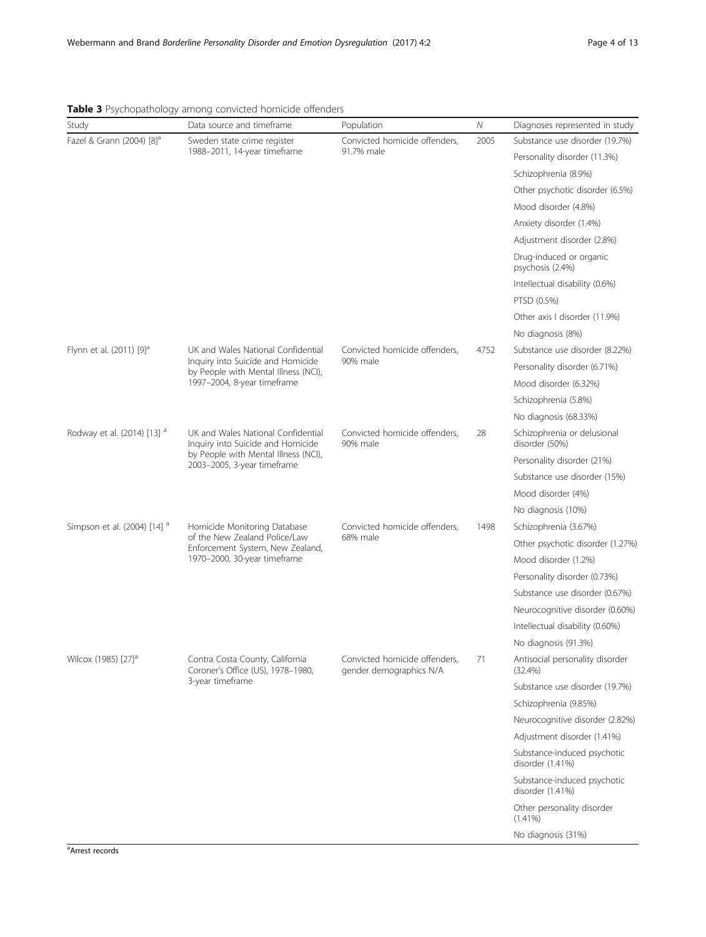| Study                                   | Data source and timeframe                                                 | Population                                               | Ν    | Diagnoses represented in study                  |
|-----------------------------------------|---------------------------------------------------------------------------|----------------------------------------------------------|------|-------------------------------------------------|
| Fazel & Grann (2004) [8] <sup>a</sup>   | Sweden state crime register                                               | Convicted homicide offenders,                            | 2005 | Substance use disorder (19.7%)                  |
|                                         | 1988-2011, 14-year timeframe                                              | 91.7% male                                               |      | Personality disorder (11.3%)                    |
|                                         |                                                                           |                                                          |      | Schizophrenia (8.9%)                            |
|                                         |                                                                           |                                                          |      | Other psychotic disorder (6.5%)                 |
|                                         |                                                                           |                                                          |      | Mood disorder (4.8%)                            |
|                                         |                                                                           |                                                          |      | Anxiety disorder (1.4%)                         |
|                                         |                                                                           |                                                          |      | Adjustment disorder (2.8%)                      |
|                                         |                                                                           |                                                          |      | Drug-induced or organic<br>psychosis (2.4%)     |
|                                         |                                                                           |                                                          |      | Intellectual disability (0.6%)                  |
|                                         |                                                                           |                                                          |      | PTSD (0.5%)                                     |
|                                         |                                                                           |                                                          |      | Other axis I disorder (11.9%)                   |
|                                         |                                                                           |                                                          |      | No diagnosis (8%)                               |
| Flynn et al. (2011) [9] <sup>a</sup>    | UK and Wales National Confidential                                        | Convicted homicide offenders,                            | 4752 | Substance use disorder (8.22%)                  |
|                                         | Inquiry into Suicide and Homicide<br>by People with Mental Illness (NCI), | 90% male                                                 |      | Personality disorder (6.71%)                    |
|                                         | 1997-2004, 8-year timeframe                                               |                                                          |      | Mood disorder (6.32%)                           |
|                                         |                                                                           |                                                          |      | Schizophrenia (5.8%)                            |
|                                         |                                                                           |                                                          |      | No diagnosis (68.33%)                           |
| Rodway et al. (2014) [13] <sup>a</sup>  | UK and Wales National Confidential<br>Inquiry into Suicide and Homicide   | Convicted homicide offenders,<br>90% male                | 28   | Schizophrenia or delusional<br>disorder (50%)   |
|                                         | by People with Mental Illness (NCI),<br>2003-2005, 3-year timeframe       |                                                          |      | Personality disorder (21%)                      |
|                                         |                                                                           |                                                          |      | Substance use disorder (15%)                    |
|                                         |                                                                           |                                                          |      | Mood disorder (4%)                              |
|                                         |                                                                           |                                                          |      | No diagnosis (10%)                              |
| Simpson et al. (2004) [14] <sup>a</sup> | Homicide Monitoring Database                                              | Convicted homicide offenders,                            | 1498 | Schizophrenia (3.67%)                           |
|                                         | of the New Zealand Police/Law<br>Enforcement System, New Zealand,         | 68% male                                                 |      | Other psychotic disorder (1.27%)                |
|                                         | 1970-2000, 30-year timeframe                                              |                                                          |      | Mood disorder (1.2%)                            |
|                                         |                                                                           |                                                          |      | Personality disorder (0.73%)                    |
|                                         |                                                                           |                                                          |      | Substance use disorder (0.67%)                  |
|                                         |                                                                           |                                                          |      | Neurocognitive disorder (0.60%)                 |
|                                         |                                                                           |                                                          |      | Intellectual disability (0.60%)                 |
|                                         |                                                                           |                                                          |      | No diagnosis (91.3%)                            |
| Wilcox (1985) [27] <sup>d</sup>         | Contra Costa County, California<br>Coroner's Office (US), 1978-1980,      | Convicted homicide offenders,<br>gender demographics N/A | 71   | Antisocial personality disorder<br>(32.4%)      |
|                                         | 3-year timeframe                                                          |                                                          |      | Substance use disorder (19.7%)                  |
|                                         |                                                                           |                                                          |      | Schizophrenia (9.85%)                           |
|                                         |                                                                           |                                                          |      | Neurocognitive disorder (2.82%)                 |
|                                         |                                                                           |                                                          |      | Adjustment disorder (1.41%)                     |
|                                         |                                                                           |                                                          |      | Substance-induced psychotic<br>disorder (1.41%) |
|                                         |                                                                           |                                                          |      | Substance-induced psychotic<br>disorder (1.41%) |
|                                         |                                                                           |                                                          |      | Other personality disorder<br>$(1.41\%)$        |
|                                         |                                                                           |                                                          |      | No diagnosis (31%)                              |

## <span id="page-3-0"></span>Table 3 Psychopathology among convicted homicide offenders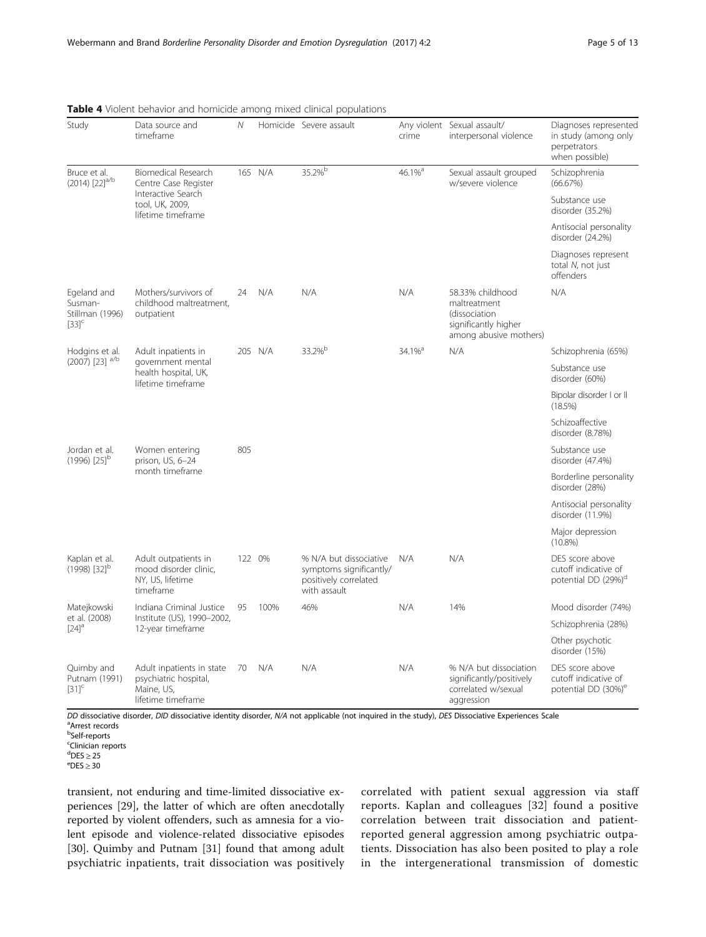| Study                                                            | Data source and<br>timeframe                                                           | $\mathcal N$ |         | Homicide Severe assault                                                                    | crime                 | Any violent Sexual assault/<br>interpersonal violence                                               | Diagnoses represented<br>in study (among only<br>perpetrators<br>when possible) |
|------------------------------------------------------------------|----------------------------------------------------------------------------------------|--------------|---------|--------------------------------------------------------------------------------------------|-----------------------|-----------------------------------------------------------------------------------------------------|---------------------------------------------------------------------------------|
| Bruce et al.<br>$(2014)$ $[22]$ <sup>a/b</sup>                   | <b>Biomedical Research</b><br>Centre Case Register                                     |              | 165 N/A | 35.2%b                                                                                     | 46.1% <sup>a</sup>    | Sexual assault grouped<br>w/severe violence                                                         | Schizophrenia<br>(66.67%)                                                       |
|                                                                  | Interactive Search<br>tool, UK, 2009,<br>lifetime timeframe                            |              |         |                                                                                            |                       |                                                                                                     | Substance use<br>disorder (35.2%)                                               |
|                                                                  |                                                                                        |              |         |                                                                                            |                       |                                                                                                     | Antisocial personality<br>disorder (24.2%)                                      |
|                                                                  |                                                                                        |              |         |                                                                                            |                       |                                                                                                     | Diagnoses represent<br>total N, not just<br>offenders                           |
| Egeland and<br>Susman-<br>Stillman (1996)<br>$[33]$ <sup>c</sup> | Mothers/survivors of<br>childhood maltreatment,<br>outpatient                          | 24           | N/A     | N/A                                                                                        | N/A                   | 58.33% childhood<br>maltreatment<br>(dissociation<br>significantly higher<br>among abusive mothers) | N/A                                                                             |
| Hodgins et al.                                                   | Adult inpatients in                                                                    |              | 205 N/A | 33.2%b                                                                                     | $34.1\%$ <sup>a</sup> | N/A                                                                                                 | Schizophrenia (65%)                                                             |
| (2007) [23] <sup>a/b</sup>                                       | government mental<br>health hospital, UK,<br>lifetime timeframe                        |              |         |                                                                                            |                       |                                                                                                     | Substance use<br>disorder (60%)                                                 |
|                                                                  |                                                                                        |              |         |                                                                                            |                       |                                                                                                     | Bipolar disorder I or II<br>$(18.5\%)$                                          |
|                                                                  |                                                                                        |              |         |                                                                                            |                       |                                                                                                     | Schizoaffective<br>disorder (8.78%)                                             |
| Jordan et al.<br>$(1996)$ $[25]$ <sup>b</sup>                    | Women entering<br>prison, US, 6-24                                                     | 805          |         |                                                                                            |                       |                                                                                                     | Substance use<br>disorder (47.4%)                                               |
|                                                                  | month timeframe                                                                        |              |         |                                                                                            |                       |                                                                                                     | Borderline personality<br>disorder (28%)                                        |
|                                                                  |                                                                                        |              |         |                                                                                            |                       |                                                                                                     | Antisocial personality<br>disorder (11.9%)                                      |
|                                                                  |                                                                                        |              |         |                                                                                            |                       |                                                                                                     | Major depression<br>$(10.8\%)$                                                  |
| Kaplan et al.<br>$(1998)$ [32] <sup>b</sup>                      | Adult outpatients in<br>mood disorder clinic,<br>NY, US, lifetime<br>timeframe         |              | 122 0%  | % N/A but dissociative<br>symptoms significantly/<br>positively correlated<br>with assault | N/A                   | N/A                                                                                                 | DES score above<br>cutoff indicative of<br>potential DD (29%) <sup>a</sup>      |
| Matejkowski                                                      | Indiana Criminal Justice                                                               | 95           | 100%    | 46%                                                                                        | N/A                   | 14%                                                                                                 | Mood disorder (74%)                                                             |
| et al. (2008)<br>$[24]$ <sup>a</sup>                             | Institute (US), 1990-2002,<br>12-year timeframe                                        |              |         |                                                                                            |                       |                                                                                                     | Schizophrenia (28%)                                                             |
|                                                                  |                                                                                        |              |         |                                                                                            |                       |                                                                                                     | Other psychotic<br>disorder (15%)                                               |
| Quimby and<br>Putnam (1991)<br>$[31]^\mathsf{c}$                 | Adult inpatients in state<br>psychiatric hospital,<br>Maine, US,<br>lifetime timeframe | 70           | N/A     | N/A                                                                                        | N/A                   | % N/A but dissociation<br>significantly/positively<br>correlated w/sexual<br>aggression             | DES score above<br>cutoff indicative of<br>potential DD (30%) <sup>e</sup>      |

<span id="page-4-0"></span>

|  |  | Table 4 Violent behavior and homicide among mixed clinical populations |  |  |  |
|--|--|------------------------------------------------------------------------|--|--|--|
|  |  |                                                                        |  |  |  |

DD dissociative disorder, DID dissociative identity disorder, N/A not applicable (not inquired in the study), DES Dissociative Experiences Scale Arrest records

<sup>b</sup>Self-reports

<sup>c</sup>Clinician reports

<sup>d</sup>DES ≥ 25<br><sup>e</sup>DES > 20

 $^{\rm e}$ DES  $\geq 30$ 

transient, not enduring and time-limited dissociative experiences [[29\]](#page-11-0), the latter of which are often anecdotally reported by violent offenders, such as amnesia for a violent episode and violence-related dissociative episodes [[30\]](#page-11-0). Quimby and Putnam [[31\]](#page-11-0) found that among adult psychiatric inpatients, trait dissociation was positively correlated with patient sexual aggression via staff reports. Kaplan and colleagues [[32\]](#page-11-0) found a positive correlation between trait dissociation and patientreported general aggression among psychiatric outpatients. Dissociation has also been posited to play a role in the intergenerational transmission of domestic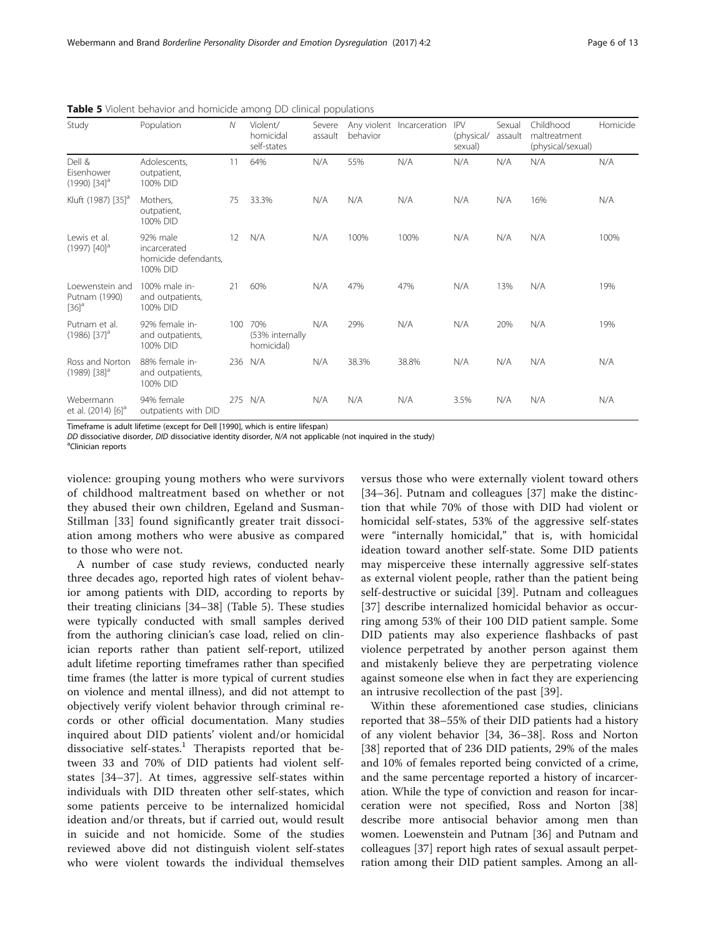| Study                                                   | Population                                                   | N   | Violent/<br>homicidal<br>self-states | Severe<br>assault | behavior | Any violent Incarceration | <b>IPV</b><br>(physical/<br>sexual) | Sexual<br>assault | Childhood<br>maltreatment<br>(physical/sexual) | Homicide |
|---------------------------------------------------------|--------------------------------------------------------------|-----|--------------------------------------|-------------------|----------|---------------------------|-------------------------------------|-------------------|------------------------------------------------|----------|
| Dell &<br>Fisenhower<br>$(1990)$ $[34]$ <sup>a</sup>    | Adolescents.<br>outpatient,<br>100% DID                      | 11  | 64%                                  | N/A               | 55%      | N/A                       | N/A                                 | N/A               | N/A                                            | N/A      |
| Kluft (1987) [35] <sup>a</sup>                          | Mothers,<br>outpatient,<br>100% DID                          | 75  | 33.3%                                | N/A               | N/A      | N/A                       | N/A                                 | N/A               | 16%                                            | N/A      |
| Lewis et al.<br>$(1997)$ $[40]$ <sup>a</sup>            | 92% male<br>incarcerated<br>homicide defendants,<br>100% DID | 12  | N/A                                  | N/A               | 100%     | 100%                      | N/A                                 | N/A               | N/A                                            | 100%     |
| Loewenstein and<br>Putnam (1990)<br>$[36]$ <sup>a</sup> | 100% male in-<br>and outpatients,<br>100% DID                | 21  | 60%                                  | N/A               | 47%      | 47%                       | N/A                                 | 13%               | N/A                                            | 19%      |
| Putnam et al.<br>$(1986)$ $[37]$ <sup>a</sup>           | 92% female in-<br>and outpatients,<br>100% DID               | 100 | 70%<br>(53% internally<br>homicidal) | N/A               | 29%      | N/A                       | N/A                                 | 20%               | N/A                                            | 19%      |
| Ross and Norton<br>$(1989)$ $[38]$ <sup>a</sup>         | 88% female in-<br>and outpatients,<br>100% DID               | 236 | N/A                                  | N/A               | 38.3%    | 38.8%                     | N/A                                 | N/A               | N/A                                            | N/A      |
| Webermann<br>et al. (2014) [6] <sup>d</sup>             | 94% female<br>outpatients with DID                           | 275 | N/A                                  | N/A               | N/A      | N/A                       | 3.5%                                | N/A               | N/A                                            | N/A      |

<span id="page-5-0"></span>Table 5 Violent behavior and homicide among DD clinical populations

Timeframe is adult lifetime (except for Dell [1990], which is entire lifespan)

DD dissociative disorder, DID dissociative identity disorder, N/A not applicable (not inquired in the study)

<sup>a</sup>Clinician reports

violence: grouping young mothers who were survivors of childhood maltreatment based on whether or not they abused their own children, Egeland and Susman-Stillman [[33\]](#page-11-0) found significantly greater trait dissociation among mothers who were abusive as compared to those who were not.

A number of case study reviews, conducted nearly three decades ago, reported high rates of violent behavior among patients with DID, according to reports by their treating clinicians [\[34](#page-11-0)–[38\]](#page-11-0) (Table 5). These studies were typically conducted with small samples derived from the authoring clinician's case load, relied on clinician reports rather than patient self-report, utilized adult lifetime reporting timeframes rather than specified time frames (the latter is more typical of current studies on violence and mental illness), and did not attempt to objectively verify violent behavior through criminal records or other official documentation. Many studies inquired about DID patients' violent and/or homicidal dissociative self-states.<sup>1</sup> Therapists reported that between 33 and 70% of DID patients had violent selfstates [\[34](#page-11-0)–[37](#page-11-0)]. At times, aggressive self-states within individuals with DID threaten other self-states, which some patients perceive to be internalized homicidal ideation and/or threats, but if carried out, would result in suicide and not homicide. Some of the studies reviewed above did not distinguish violent self-states who were violent towards the individual themselves versus those who were externally violent toward others [[34](#page-11-0)–[36\]](#page-11-0). Putnam and colleagues [[37\]](#page-11-0) make the distinction that while 70% of those with DID had violent or homicidal self-states, 53% of the aggressive self-states were "internally homicidal," that is, with homicidal ideation toward another self-state. Some DID patients may misperceive these internally aggressive self-states as external violent people, rather than the patient being self-destructive or suicidal [\[39](#page-11-0)]. Putnam and colleagues [[37\]](#page-11-0) describe internalized homicidal behavior as occurring among 53% of their 100 DID patient sample. Some DID patients may also experience flashbacks of past violence perpetrated by another person against them and mistakenly believe they are perpetrating violence against someone else when in fact they are experiencing an intrusive recollection of the past [\[39](#page-11-0)].

Within these aforementioned case studies, clinicians reported that 38–55% of their DID patients had a history of any violent behavior [\[34](#page-11-0), [36](#page-11-0)–[38\]](#page-11-0). Ross and Norton [[38\]](#page-11-0) reported that of 236 DID patients, 29% of the males and 10% of females reported being convicted of a crime, and the same percentage reported a history of incarceration. While the type of conviction and reason for incarceration were not specified, Ross and Norton [[38](#page-11-0)] describe more antisocial behavior among men than women. Loewenstein and Putnam [[36](#page-11-0)] and Putnam and colleagues [\[37](#page-11-0)] report high rates of sexual assault perpetration among their DID patient samples. Among an all-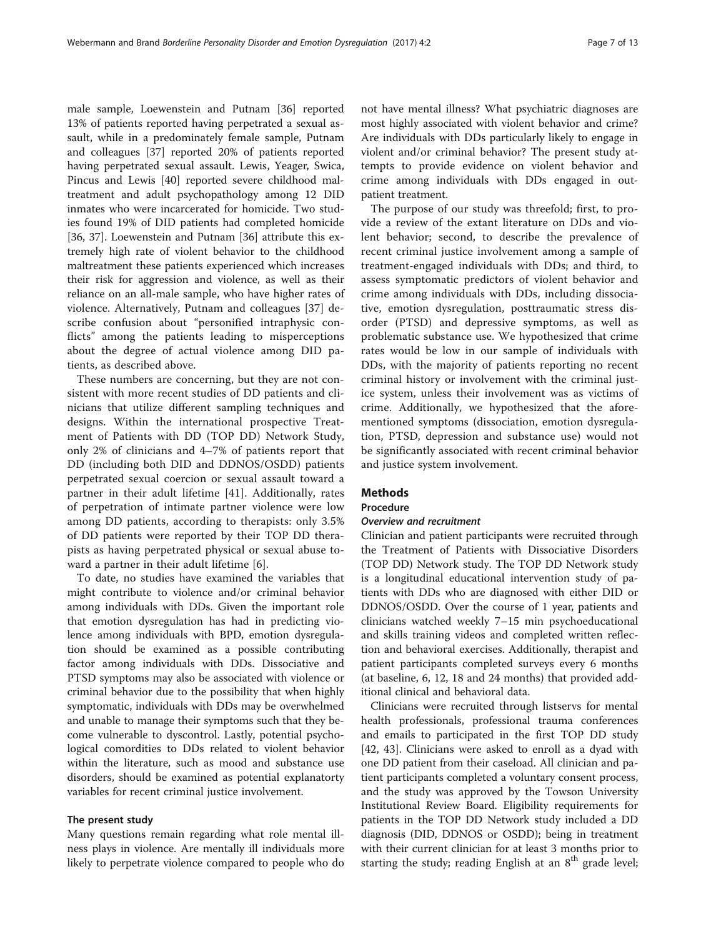male sample, Loewenstein and Putnam [[36\]](#page-11-0) reported 13% of patients reported having perpetrated a sexual assault, while in a predominately female sample, Putnam and colleagues [\[37](#page-11-0)] reported 20% of patients reported having perpetrated sexual assault. Lewis, Yeager, Swica, Pincus and Lewis [\[40\]](#page-11-0) reported severe childhood maltreatment and adult psychopathology among 12 DID inmates who were incarcerated for homicide. Two studies found 19% of DID patients had completed homicide [[36, 37\]](#page-11-0). Loewenstein and Putnam [[36\]](#page-11-0) attribute this extremely high rate of violent behavior to the childhood maltreatment these patients experienced which increases their risk for aggression and violence, as well as their reliance on an all-male sample, who have higher rates of violence. Alternatively, Putnam and colleagues [\[37](#page-11-0)] describe confusion about "personified intraphysic conflicts" among the patients leading to misperceptions about the degree of actual violence among DID patients, as described above.

These numbers are concerning, but they are not consistent with more recent studies of DD patients and clinicians that utilize different sampling techniques and designs. Within the international prospective Treatment of Patients with DD (TOP DD) Network Study, only 2% of clinicians and 4–7% of patients report that DD (including both DID and DDNOS/OSDD) patients perpetrated sexual coercion or sexual assault toward a partner in their adult lifetime [[41](#page-11-0)]. Additionally, rates of perpetration of intimate partner violence were low among DD patients, according to therapists: only 3.5% of DD patients were reported by their TOP DD therapists as having perpetrated physical or sexual abuse toward a partner in their adult lifetime [\[6](#page-11-0)].

To date, no studies have examined the variables that might contribute to violence and/or criminal behavior among individuals with DDs. Given the important role that emotion dysregulation has had in predicting violence among individuals with BPD, emotion dysregulation should be examined as a possible contributing factor among individuals with DDs. Dissociative and PTSD symptoms may also be associated with violence or criminal behavior due to the possibility that when highly symptomatic, individuals with DDs may be overwhelmed and unable to manage their symptoms such that they become vulnerable to dyscontrol. Lastly, potential psychological comordities to DDs related to violent behavior within the literature, such as mood and substance use disorders, should be examined as potential explanatorty variables for recent criminal justice involvement.

## The present study

Many questions remain regarding what role mental illness plays in violence. Are mentally ill individuals more likely to perpetrate violence compared to people who do

not have mental illness? What psychiatric diagnoses are most highly associated with violent behavior and crime? Are individuals with DDs particularly likely to engage in violent and/or criminal behavior? The present study attempts to provide evidence on violent behavior and crime among individuals with DDs engaged in outpatient treatment.

The purpose of our study was threefold; first, to provide a review of the extant literature on DDs and violent behavior; second, to describe the prevalence of recent criminal justice involvement among a sample of treatment-engaged individuals with DDs; and third, to assess symptomatic predictors of violent behavior and crime among individuals with DDs, including dissociative, emotion dysregulation, posttraumatic stress disorder (PTSD) and depressive symptoms, as well as problematic substance use. We hypothesized that crime rates would be low in our sample of individuals with DDs, with the majority of patients reporting no recent criminal history or involvement with the criminal justice system, unless their involvement was as victims of crime. Additionally, we hypothesized that the aforementioned symptoms (dissociation, emotion dysregulation, PTSD, depression and substance use) would not be significantly associated with recent criminal behavior and justice system involvement.

## Methods

## Procedure

### Overview and recruitment

Clinician and patient participants were recruited through the Treatment of Patients with Dissociative Disorders (TOP DD) Network study. The TOP DD Network study is a longitudinal educational intervention study of patients with DDs who are diagnosed with either DID or DDNOS/OSDD. Over the course of 1 year, patients and clinicians watched weekly 7–15 min psychoeducational and skills training videos and completed written reflection and behavioral exercises. Additionally, therapist and patient participants completed surveys every 6 months (at baseline, 6, 12, 18 and 24 months) that provided additional clinical and behavioral data.

Clinicians were recruited through listservs for mental health professionals, professional trauma conferences and emails to participated in the first TOP DD study [[42,](#page-11-0) [43\]](#page-12-0). Clinicians were asked to enroll as a dyad with one DD patient from their caseload. All clinician and patient participants completed a voluntary consent process, and the study was approved by the Towson University Institutional Review Board. Eligibility requirements for patients in the TOP DD Network study included a DD diagnosis (DID, DDNOS or OSDD); being in treatment with their current clinician for at least 3 months prior to starting the study; reading English at an  $8<sup>th</sup>$  grade level;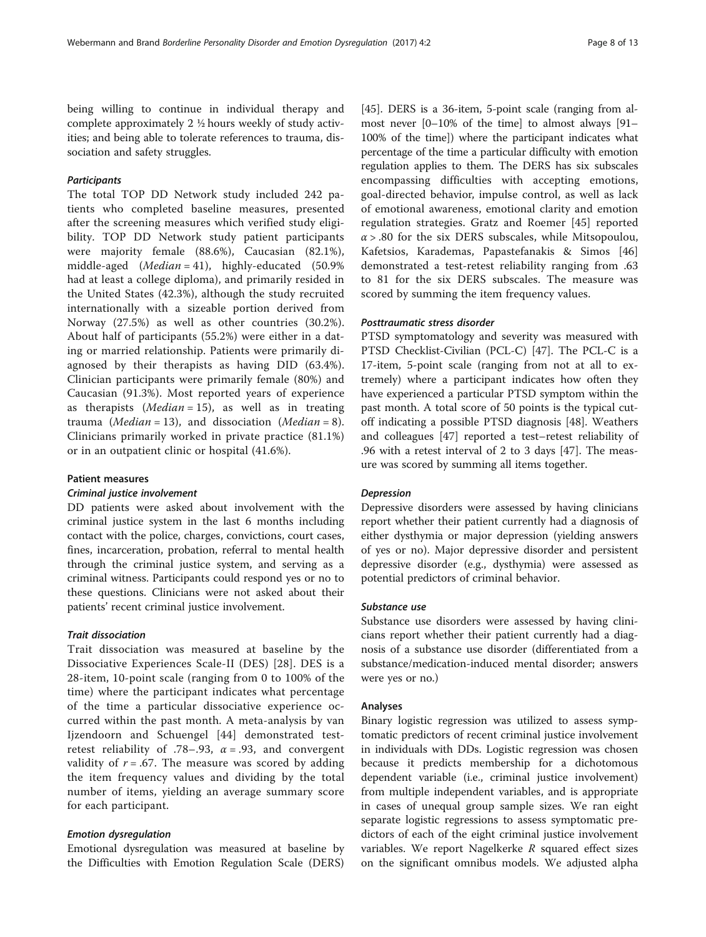being willing to continue in individual therapy and complete approximately 2 ½ hours weekly of study activities; and being able to tolerate references to trauma, dissociation and safety struggles.

### **Participants**

The total TOP DD Network study included 242 patients who completed baseline measures, presented after the screening measures which verified study eligibility. TOP DD Network study patient participants were majority female (88.6%), Caucasian (82.1%), middle-aged  $(Median = 41)$ , highly-educated (50.9%) had at least a college diploma), and primarily resided in the United States (42.3%), although the study recruited internationally with a sizeable portion derived from Norway (27.5%) as well as other countries (30.2%). About half of participants (55.2%) were either in a dating or married relationship. Patients were primarily diagnosed by their therapists as having DID (63.4%). Clinician participants were primarily female (80%) and Caucasian (91.3%). Most reported years of experience as therapists (*Median* = 15), as well as in treating trauma (*Median* = 13), and dissociation (*Median* = 8). Clinicians primarily worked in private practice (81.1%) or in an outpatient clinic or hospital (41.6%).

## Patient measures

#### Criminal justice involvement

DD patients were asked about involvement with the criminal justice system in the last 6 months including contact with the police, charges, convictions, court cases, fines, incarceration, probation, referral to mental health through the criminal justice system, and serving as a criminal witness. Participants could respond yes or no to these questions. Clinicians were not asked about their patients' recent criminal justice involvement.

## Trait dissociation

Trait dissociation was measured at baseline by the Dissociative Experiences Scale-II (DES) [[28](#page-11-0)]. DES is a 28-item, 10-point scale (ranging from 0 to 100% of the time) where the participant indicates what percentage of the time a particular dissociative experience occurred within the past month. A meta-analysis by van Ijzendoorn and Schuengel [[44](#page-12-0)] demonstrated testretest reliability of .78–.93,  $\alpha$  = .93, and convergent validity of  $r = .67$ . The measure was scored by adding the item frequency values and dividing by the total number of items, yielding an average summary score for each participant.

#### Emotion dysregulation

Emotional dysregulation was measured at baseline by the Difficulties with Emotion Regulation Scale (DERS) [[45\]](#page-12-0). DERS is a 36-item, 5-point scale (ranging from almost never [0–10% of the time] to almost always [91– 100% of the time]) where the participant indicates what percentage of the time a particular difficulty with emotion regulation applies to them. The DERS has six subscales encompassing difficulties with accepting emotions, goal-directed behavior, impulse control, as well as lack of emotional awareness, emotional clarity and emotion regulation strategies. Gratz and Roemer [\[45](#page-12-0)] reported  $\alpha$  > .80 for the six DERS subscales, while Mitsopoulou, Kafetsios, Karademas, Papastefanakis & Simos [\[46](#page-12-0)] demonstrated a test-retest reliability ranging from .63 to 81 for the six DERS subscales. The measure was scored by summing the item frequency values.

#### Posttraumatic stress disorder

PTSD symptomatology and severity was measured with PTSD Checklist-Civilian (PCL-C) [[47\]](#page-12-0). The PCL-C is a 17-item, 5-point scale (ranging from not at all to extremely) where a participant indicates how often they have experienced a particular PTSD symptom within the past month. A total score of 50 points is the typical cutoff indicating a possible PTSD diagnosis [[48](#page-12-0)]. Weathers and colleagues [[47\]](#page-12-0) reported a test–retest reliability of .96 with a retest interval of 2 to 3 days [[47](#page-12-0)]. The measure was scored by summing all items together.

#### Depression

Depressive disorders were assessed by having clinicians report whether their patient currently had a diagnosis of either dysthymia or major depression (yielding answers of yes or no). Major depressive disorder and persistent depressive disorder (e.g., dysthymia) were assessed as potential predictors of criminal behavior.

## Substance use

Substance use disorders were assessed by having clinicians report whether their patient currently had a diagnosis of a substance use disorder (differentiated from a substance/medication-induced mental disorder; answers were yes or no.)

#### Analyses

Binary logistic regression was utilized to assess symptomatic predictors of recent criminal justice involvement in individuals with DDs. Logistic regression was chosen because it predicts membership for a dichotomous dependent variable (i.e., criminal justice involvement) from multiple independent variables, and is appropriate in cases of unequal group sample sizes. We ran eight separate logistic regressions to assess symptomatic predictors of each of the eight criminal justice involvement variables. We report Nagelkerke  $R$  squared effect sizes on the significant omnibus models. We adjusted alpha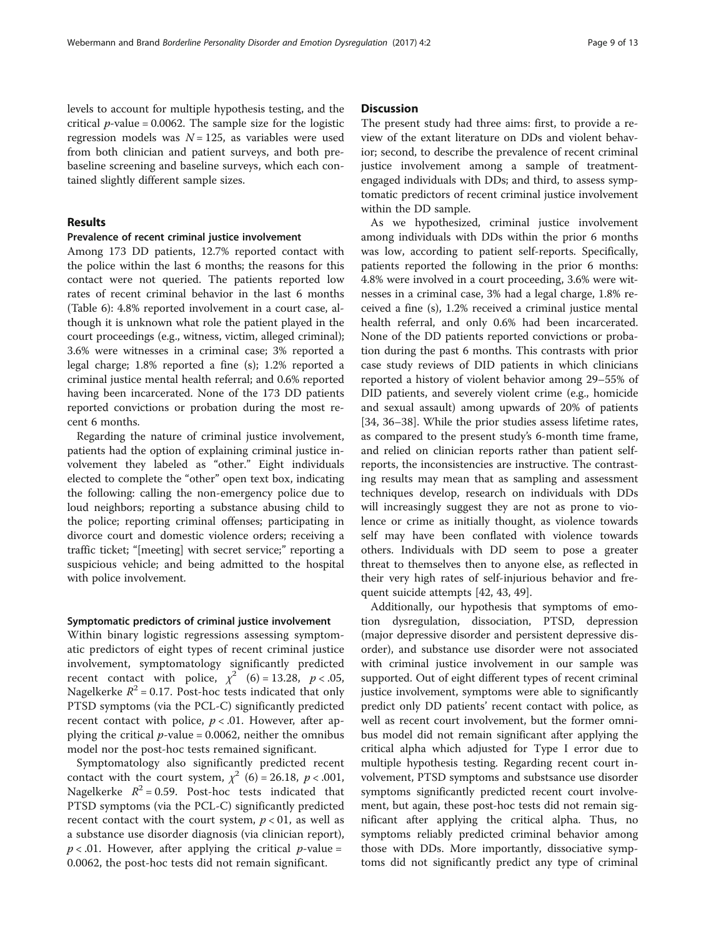levels to account for multiple hypothesis testing, and the critical  $p$ -value = 0.0062. The sample size for the logistic regression models was  $N = 125$ , as variables were used from both clinician and patient surveys, and both prebaseline screening and baseline surveys, which each contained slightly different sample sizes.

## Results

## Prevalence of recent criminal justice involvement

Among 173 DD patients, 12.7% reported contact with the police within the last 6 months; the reasons for this contact were not queried. The patients reported low rates of recent criminal behavior in the last 6 months (Table [6](#page-9-0)): 4.8% reported involvement in a court case, although it is unknown what role the patient played in the court proceedings (e.g., witness, victim, alleged criminal); 3.6% were witnesses in a criminal case; 3% reported a legal charge; 1.8% reported a fine (s); 1.2% reported a criminal justice mental health referral; and 0.6% reported having been incarcerated. None of the 173 DD patients reported convictions or probation during the most recent 6 months.

Regarding the nature of criminal justice involvement, patients had the option of explaining criminal justice involvement they labeled as "other." Eight individuals elected to complete the "other" open text box, indicating the following: calling the non-emergency police due to loud neighbors; reporting a substance abusing child to the police; reporting criminal offenses; participating in divorce court and domestic violence orders; receiving a traffic ticket; "[meeting] with secret service;" reporting a suspicious vehicle; and being admitted to the hospital with police involvement.

#### Symptomatic predictors of criminal justice involvement

Within binary logistic regressions assessing symptomatic predictors of eight types of recent criminal justice involvement, symptomatology significantly predicted recent contact with police,  $\chi^2$  (6) = 13.28, p < .05, Nagelkerke  $R^2$  = 0.17. Post-hoc tests indicated that only PTSD symptoms (via the PCL-C) significantly predicted recent contact with police,  $p < .01$ . However, after applying the critical  $p$ -value = 0.0062, neither the omnibus model nor the post-hoc tests remained significant.

Symptomatology also significantly predicted recent contact with the court system,  $\chi^2$  (6) = 26.18, p < .001, Nagelkerke  $R^2 = 0.59$ . Post-hoc tests indicated that PTSD symptoms (via the PCL-C) significantly predicted recent contact with the court system,  $p < 01$ , as well as a substance use disorder diagnosis (via clinician report),  $p < .01$ . However, after applying the critical  $p$ -value = 0.0062, the post-hoc tests did not remain significant.

## **Discussion**

The present study had three aims: first, to provide a review of the extant literature on DDs and violent behavior; second, to describe the prevalence of recent criminal justice involvement among a sample of treatmentengaged individuals with DDs; and third, to assess symptomatic predictors of recent criminal justice involvement within the DD sample.

As we hypothesized, criminal justice involvement among individuals with DDs within the prior 6 months was low, according to patient self-reports. Specifically, patients reported the following in the prior 6 months: 4.8% were involved in a court proceeding, 3.6% were witnesses in a criminal case, 3% had a legal charge, 1.8% received a fine (s), 1.2% received a criminal justice mental health referral, and only 0.6% had been incarcerated. None of the DD patients reported convictions or probation during the past 6 months. This contrasts with prior case study reviews of DID patients in which clinicians reported a history of violent behavior among 29–55% of DID patients, and severely violent crime (e.g., homicide and sexual assault) among upwards of 20% of patients [[34, 36](#page-11-0)–[38\]](#page-11-0). While the prior studies assess lifetime rates, as compared to the present study's 6-month time frame, and relied on clinician reports rather than patient selfreports, the inconsistencies are instructive. The contrasting results may mean that as sampling and assessment techniques develop, research on individuals with DDs will increasingly suggest they are not as prone to violence or crime as initially thought, as violence towards self may have been conflated with violence towards others. Individuals with DD seem to pose a greater threat to themselves then to anyone else, as reflected in their very high rates of self-injurious behavior and frequent suicide attempts [\[42,](#page-11-0) [43, 49\]](#page-12-0).

Additionally, our hypothesis that symptoms of emotion dysregulation, dissociation, PTSD, depression (major depressive disorder and persistent depressive disorder), and substance use disorder were not associated with criminal justice involvement in our sample was supported. Out of eight different types of recent criminal justice involvement, symptoms were able to significantly predict only DD patients' recent contact with police, as well as recent court involvement, but the former omnibus model did not remain significant after applying the critical alpha which adjusted for Type I error due to multiple hypothesis testing. Regarding recent court involvement, PTSD symptoms and substsance use disorder symptoms significantly predicted recent court involvement, but again, these post-hoc tests did not remain significant after applying the critical alpha. Thus, no symptoms reliably predicted criminal behavior among those with DDs. More importantly, dissociative symptoms did not significantly predict any type of criminal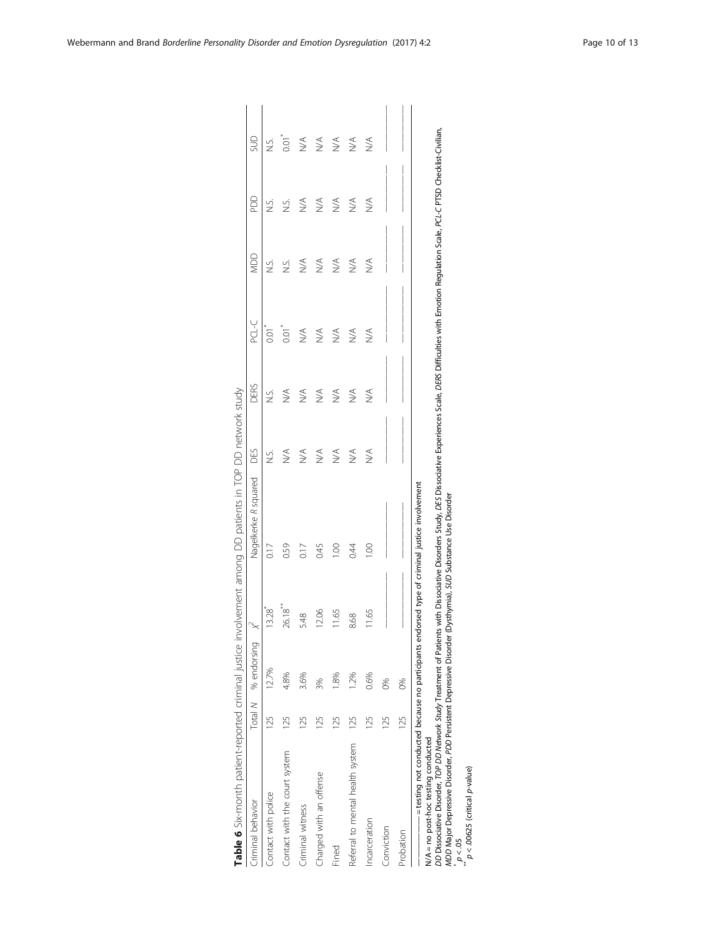<span id="page-9-0"></span>

| Criminal behavior                |                 | Total M % endorsing | $\propto$             | Nagelkerke R squared | DES                          | <b>DERS</b>                  | PCL-C                        | MDD                              | gg            | gus                              |
|----------------------------------|-----------------|---------------------|-----------------------|----------------------|------------------------------|------------------------------|------------------------------|----------------------------------|---------------|----------------------------------|
| Contact with police              | 125             | 12.7%               | $13.28$ <sup>*</sup>  | 0.17                 | si<br>Si                     | si<br>Si                     | to.co                        | si<br>N                          |               | S.<br>N                          |
| Contact with the court system    | 125             | 4.8%                | $26.18$ <sup>**</sup> | 0.59                 | $\stackrel{\triangle}{\geq}$ | $\stackrel{\triangle}{\geq}$ | $\overline{0}$               | S.                               | S.i           | $0.01$ <sup>*</sup>              |
| Criminal witness                 | $\overline{25}$ | 3.6%                | 5.48                  | 0.17                 | $\stackrel{\triangle}{\geq}$ | $\stackrel{\triangle}{\geq}$ | $\stackrel{\triangle}{\geq}$ | $\lessapprox$                    | $\lessapprox$ | $\stackrel{\triangleleft}{\geq}$ |
| Charged with an offense          | 25              | 3%                  | 12.06                 | 0.45                 | $\stackrel{\triangle}{\geq}$ | $\stackrel{\triangle}{\geq}$ | $\stackrel{\triangle}{\geq}$ | $\leq$                           | $\lessapprox$ | $\stackrel{\triangle}{\geq}$     |
| Fined                            | 25              | $-8%$               | 11.65                 | 001                  | $\stackrel{\triangle}{\geq}$ | $\stackrel{\triangle}{\geq}$ | $\stackrel{\triangle}{\geq}$ | $\lesssim$                       | $\lesssim$    | $\stackrel{\triangleleft}{\geq}$ |
| Referral to mental health system | 125             | 1.2%                | 8.68                  | 0.44                 | $\stackrel{\triangle}{\geq}$ | $\lessapprox$                | $\stackrel{\triangle}{\geq}$ | $\stackrel{\triangleleft}{\geq}$ | $\lessapprox$ | $\stackrel{\triangleleft}{\geq}$ |
| Incarceration                    | 125             | 0.6%                | 11.65                 | $\frac{8}{1}$        | $\stackrel{\triangle}{\geq}$ | $\stackrel{\triangle}{\geq}$ | $\frac{1}{2}$                | ∖<br>M                           | $\lessapprox$ | $\stackrel{\triangleleft}{\geq}$ |
| Conviction                       | 125             | 86                  |                       |                      |                              |                              |                              |                                  |               |                                  |
| Probation                        | 125             | 86                  |                       |                      |                              |                              |                              |                                  |               |                                  |

DD Dissociative Disorder, TOP DD Network Study Treatment of Patients with Dissociative Disorders Study, DES Dissociative Experiences Scale, DERS Difficulties with Emotion Regulation Scale, PCL-C PTSD Checklist-Civilian, MDD Major Depressive Disorder, PDD Persistent Depressive Disorder (Dysthymia), SUD Substance Use Disorder

 $p < 05$ 

p < .00625 (critical p-value)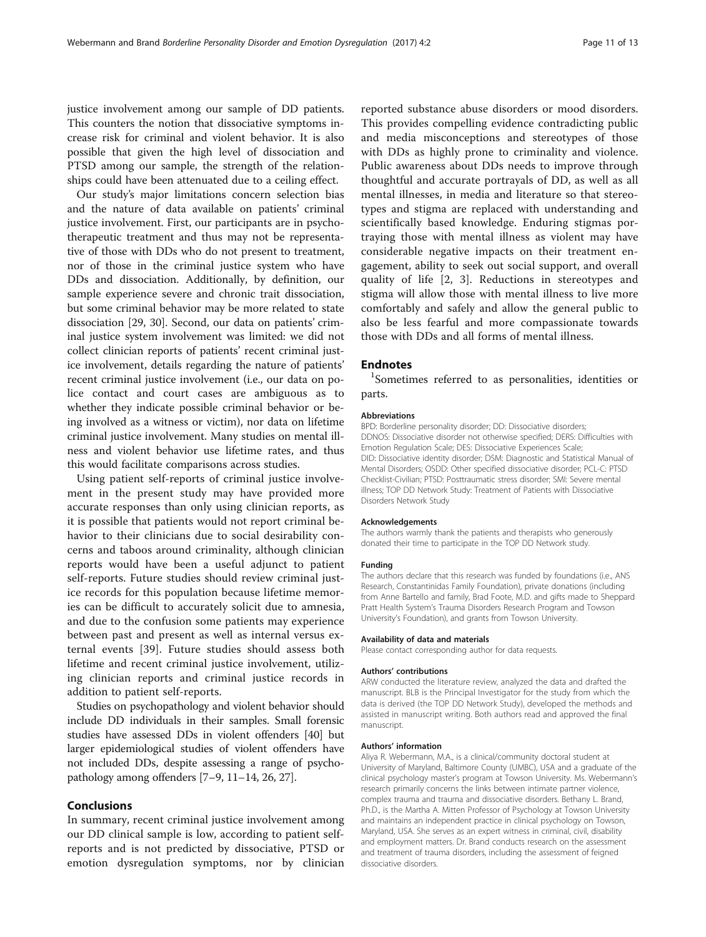justice involvement among our sample of DD patients. This counters the notion that dissociative symptoms increase risk for criminal and violent behavior. It is also possible that given the high level of dissociation and PTSD among our sample, the strength of the relationships could have been attenuated due to a ceiling effect.

Our study's major limitations concern selection bias and the nature of data available on patients' criminal justice involvement. First, our participants are in psychotherapeutic treatment and thus may not be representative of those with DDs who do not present to treatment, nor of those in the criminal justice system who have DDs and dissociation. Additionally, by definition, our sample experience severe and chronic trait dissociation, but some criminal behavior may be more related to state dissociation [\[29, 30](#page-11-0)]. Second, our data on patients' criminal justice system involvement was limited: we did not collect clinician reports of patients' recent criminal justice involvement, details regarding the nature of patients' recent criminal justice involvement (i.e., our data on police contact and court cases are ambiguous as to whether they indicate possible criminal behavior or being involved as a witness or victim), nor data on lifetime criminal justice involvement. Many studies on mental illness and violent behavior use lifetime rates, and thus this would facilitate comparisons across studies.

Using patient self-reports of criminal justice involvement in the present study may have provided more accurate responses than only using clinician reports, as it is possible that patients would not report criminal behavior to their clinicians due to social desirability concerns and taboos around criminality, although clinician reports would have been a useful adjunct to patient self-reports. Future studies should review criminal justice records for this population because lifetime memories can be difficult to accurately solicit due to amnesia, and due to the confusion some patients may experience between past and present as well as internal versus external events [[39](#page-11-0)]. Future studies should assess both lifetime and recent criminal justice involvement, utilizing clinician reports and criminal justice records in addition to patient self-reports.

Studies on psychopathology and violent behavior should include DD individuals in their samples. Small forensic studies have assessed DDs in violent offenders [[40\]](#page-11-0) but larger epidemiological studies of violent offenders have not included DDs, despite assessing a range of psychopathology among offenders [\[7](#page-11-0)–[9, 11](#page-11-0)–[14](#page-11-0), [26, 27](#page-11-0)].

## Conclusions

In summary, recent criminal justice involvement among our DD clinical sample is low, according to patient selfreports and is not predicted by dissociative, PTSD or emotion dysregulation symptoms, nor by clinician

reported substance abuse disorders or mood disorders. This provides compelling evidence contradicting public and media misconceptions and stereotypes of those with DDs as highly prone to criminality and violence. Public awareness about DDs needs to improve through thoughtful and accurate portrayals of DD, as well as all mental illnesses, in media and literature so that stereotypes and stigma are replaced with understanding and scientifically based knowledge. Enduring stigmas portraying those with mental illness as violent may have considerable negative impacts on their treatment engagement, ability to seek out social support, and overall quality of life [[2, 3](#page-11-0)]. Reductions in stereotypes and stigma will allow those with mental illness to live more comfortably and safely and allow the general public to also be less fearful and more compassionate towards those with DDs and all forms of mental illness.

## **Endnotes**

<sup>1</sup>Sometimes referred to as personalities, identities or parts.

#### Abbreviations

BPD: Borderline personality disorder; DD: Dissociative disorders; DDNOS: Dissociative disorder not otherwise specified; DERS: Difficulties with Emotion Regulation Scale; DES: Dissociative Experiences Scale; DID: Dissociative identity disorder; DSM: Diagnostic and Statistical Manual of Mental Disorders; OSDD: Other specified dissociative disorder; PCL-C: PTSD Checklist-Civilian; PTSD: Posttraumatic stress disorder; SMI: Severe mental illness; TOP DD Network Study: Treatment of Patients with Dissociative Disorders Network Study

#### Acknowledgements

The authors warmly thank the patients and therapists who generously donated their time to participate in the TOP DD Network study.

#### Funding

The authors declare that this research was funded by foundations (i.e., ANS Research, Constantinidas Family Foundation), private donations (including from Anne Bartello and family, Brad Foote, M.D. and gifts made to Sheppard Pratt Health System's Trauma Disorders Research Program and Towson University's Foundation), and grants from Towson University.

#### Availability of data and materials

Please contact corresponding author for data requests.

#### Authors' contributions

ARW conducted the literature review, analyzed the data and drafted the manuscript. BLB is the Principal Investigator for the study from which the data is derived (the TOP DD Network Study), developed the methods and assisted in manuscript writing. Both authors read and approved the final manuscript.

#### Authors' information

Aliya R. Webermann, M.A., is a clinical/community doctoral student at University of Maryland, Baltimore County (UMBC), USA and a graduate of the clinical psychology master's program at Towson University. Ms. Webermann's research primarily concerns the links between intimate partner violence, complex trauma and trauma and dissociative disorders. Bethany L. Brand, Ph.D., is the Martha A. Mitten Professor of Psychology at Towson University and maintains an independent practice in clinical psychology on Towson, Maryland, USA. She serves as an expert witness in criminal, civil, disability and employment matters. Dr. Brand conducts research on the assessment and treatment of trauma disorders, including the assessment of feigned dissociative disorders.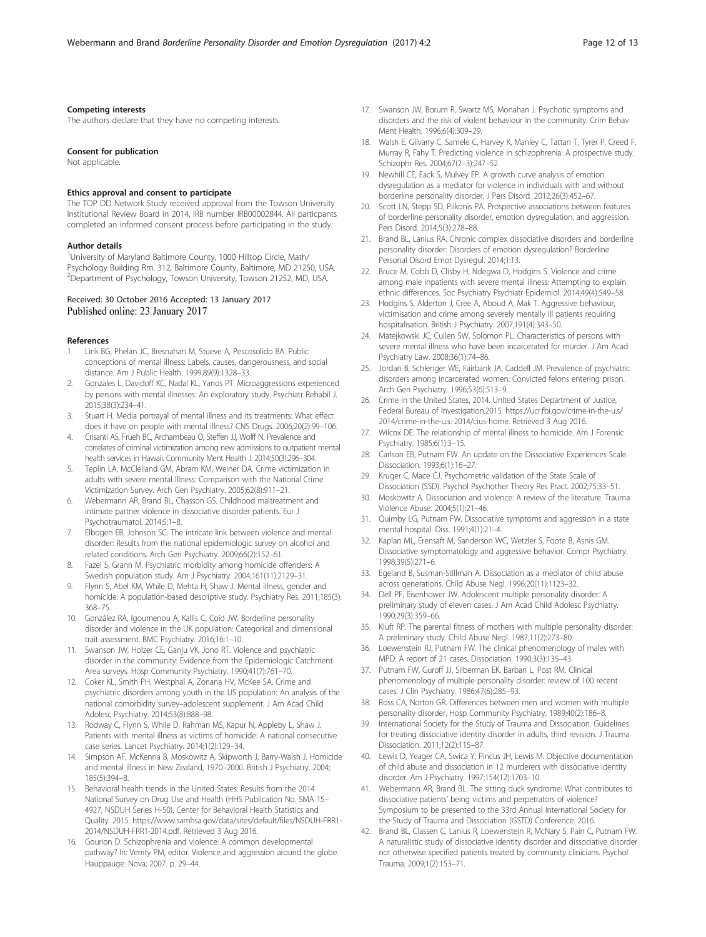#### <span id="page-11-0"></span>Competing interests

The authors declare that they have no competing interests.

#### Consent for publication

Not applicable.

## Ethics approval and consent to participate

The TOP DD Network Study received approval from the Towson University Institutional Review Board in 2014, IRB number IRB00002844. All particpants completed an informed consent process before participating in the study.

#### Author details

<sup>1</sup>University of Maryland Baltimore County, 1000 Hilltop Circle, Math/ Psychology Building Rm. 312, Baltimore County, Baltimore, MD 21250, USA. 2 Department of Psychology, Towson University, Towson 21252, MD, USA.

#### Received: 30 October 2016 Accepted: 13 January 2017 Published online: 23 January 2017

#### References

- 1. Link BG, Phelan JC, Bresnahan M, Stueve A, Pescosolido BA. Public conceptions of mental illness: Labels, causes, dangerousness, and social distance. Am J Public Health. 1999;89(9):1328–33.
- 2. Gonzales L, Davidoff KC, Nadal KL, Yanos PT. Microaggressions experienced by persons with mental illnesses: An exploratory study. Psychiatr Rehabil J. 2015;38(3):234–41.
- Stuart H. Media portrayal of mental illness and its treatments: What effect does it have on people with mental illness? CNS Drugs. 2006;20(2):99–106.
- 4. Crisanti AS, Frueh BC, Archambeau O, Steffen JJ, Wolff N. Prevalence and correlates of criminal victimization among new admissions to outpatient mental health services in Hawaii. Community Ment Health J. 2014;50(3):296–304.
- 5. Teplin LA, McClelland GM, Abram KM, Weiner DA. Crime victimization in adults with severe mental Illness: Comparison with the National Crime Victimization Survey. Arch Gen Psychiatry. 2005;62(8):911–21.
- 6. Webermann AR, Brand BL, Chasson GS. Childhood maltreatment and intimate partner violence in dissociative disorder patients. Eur J Psychotraumatol. 2014;5:1–8.
- 7. Elbogen EB, Johnson SC. The intricate link between violence and mental disorder: Results from the national epidemiologic survey on alcohol and related conditions. Arch Gen Psychiatry. 2009;66(2):152–61.
- 8. Fazel S, Grann M. Psychiatric morbidity among homicide offenders: A Swedish population study. Am J Psychiatry. 2004;161(11):2129–31.
- 9. Flynn S, Abel KM, While D, Mehta H, Shaw J. Mental illness, gender and homicide: A population-based descriptive study. Psychiatry Res. 2011;185(3): 368–75.
- 10. González RA, Igoumenou A, Kallis C, Coid JW. Borderline personality disorder and violence in the UK population: Categorical and dimensional trait assessment. BMC Psychiatry. 2016;16:1–10.
- 11. Swanson JW, Holzer CE, Ganju VK, Jono RT. Violence and psychiatric disorder in the community: Evidence from the Epidemiologic Catchment Area surveys. Hosp Community Psychiatry. 1990;41(7):761–70.
- 12. Coker KL, Smith PH, Westphal A, Zonana HV, McKee SA. Crime and psychiatric disorders among youth in the US population: An analysis of the national comorbidity survey–adolescent supplement. J Am Acad Child Adolesc Psychiatry. 2014;53(8):888–98.
- 13. Rodway C, Flynn S, While D, Rahman MS, Kapur N, Appleby L, Shaw J. Patients with mental illness as victims of homicide: A national consecutive case series. Lancet Psychiatry. 2014;1(2):129–34.
- 14. Simpson AF, McKenna B, Moskowitz A, Skipworth J, Barry-Walsh J. Homicide and mental illness in New Zealand, 1970–2000. British J Psychiatry. 2004; 185(5):394–8.
- 15. Behavioral health trends in the United States: Results from the 2014 National Survey on Drug Use and Health (HHS Publication No. SMA 15– 4927, NSDUH Series H-50). Center for Behavioral Health Statistics and Quality. 2015. [https://www.samhsa.gov/data/sites/default/files/NSDUH-FRR1-](https://www.samhsa.gov/data/sites/default/files/NSDUH-FRR1-2014/NSDUH-FRR1-2014.pdf) [2014/NSDUH-FRR1-2014.pdf](https://www.samhsa.gov/data/sites/default/files/NSDUH-FRR1-2014/NSDUH-FRR1-2014.pdf). Retrieved 3 Aug 2016.
- 16. Gourion D. Schizophrenia and violence: A common developmental pathway? In: Verrity PM, editor. Violence and aggression around the globe. Hauppauge: Nova; 2007. p. 29–44.
- 17. Swanson JW, Borum R, Swartz MS, Monahan J. Psychotic symptoms and disorders and the risk of violent behaviour in the community. Crim Behav Ment Health. 1996;6(4):309–29.
- 18. Walsh E, Gilvarry C, Samele C, Harvey K, Manley C, Tattan T, Tyrer P, Creed F, Murray R, Fahy T. Predicting violence in schizophrenia: A prospective study. Schizophr Res. 2004;67(2–3):247–52.
- 19. Newhill CE, Eack S, Mulvey EP. A growth curve analysis of emotion dysregulation as a mediator for violence in individuals with and without borderline personality disorder. J Pers Disord. 2012;26(3):452–67.
- 20. Scott LN, Stepp SD, Pilkonis PA. Prospective associations between features of borderline personality disorder, emotion dysregulation, and aggression. Pers Disord. 2014;5(3):278–88.
- 21. Brand BL, Lanius RA. Chronic complex dissociative disorders and borderline personality disorder: Disorders of emotion dysregulation? Borderline Personal Disord Emot Dysregul. 2014;1:13.
- 22. Bruce M, Cobb D, Clisby H, Ndegwa D, Hodgins S. Violence and crime among male inpatients with severe mental illness: Attempting to explain ethnic differences. Soc Psychiatry Psychiatr Epidemiol. 2014;49(4):549–58.
- 23. Hodgins S, Alderton J, Cree A, Aboud A, Mak T. Aggressive behaviour, victimisation and crime among severely mentally ill patients requiring hospitalisation. British J Psychiatry. 2007;191(4):343–50.
- 24. Matejkowski JC, Cullen SW, Solomon PL. Characteristics of persons with severe mental illness who have been incarcerated for murder. J Am Acad Psychiatry Law. 2008;36(1):74–86.
- 25. Jordan B, Schlenger WE, Fairbank JA, Caddell JM. Prevalence of psychiatric disorders among incarcerated women: Convicted felons entering prison. Arch Gen Psychiatry. 1996;53(6):513–9.
- 26. Crime in the United States, 2014. United States Department of Justice, Federal Bureau of Investigation.2015. [https://ucr.fbi.gov/crime-in-the-u.s/](https://ucr.fbi.gov/crime-in-the-u.s/2014/crime-in-the-u.s.-2014/cius-home) [2014/crime-in-the-u.s.-2014/cius-home](https://ucr.fbi.gov/crime-in-the-u.s/2014/crime-in-the-u.s.-2014/cius-home). Retrieved 3 Aug 2016.
- 27. Wilcox DE. The relationship of mental illness to homicide. Am J Forensic Psychiatry. 1985;6(1):3–15.
- 28. Carlson EB, Putnam FW. An update on the Dissociative Experiences Scale. Dissociation. 1993;6(1):16–27.
- 29. Kruger C, Mace CJ. Psychometric validation of the State Scale of Dissociation (SSD). Psychol Psychother Theory Res Pract. 2002;75:33–51.
- 30. Moskowitz A. Dissociation and violence: A review of the literature. Trauma Violence Abuse. 2004;5(1):21–46.
- 31. Quimby LG, Putnam FW. Dissociative symptoms and aggression in a state mental hospital. Diss. 1991;4(1):21–4.
- 32. Kaplan ML, Erensaft M, Sanderson WC, Wetzler S, Foote B, Asnis GM. Dissociative symptomatology and aggressive behavior. Compr Psychiatry. 1998;39(5):271–6.
- 33. Egeland B, Susman-Stillman A. Dissociation as a mediator of child abuse across generations. Child Abuse Negl. 1996;20(11):1123–32.
- 34. Dell PF, Eisenhower JW. Adolescent multiple personality disorder: A preliminary study of eleven cases. J Am Acad Child Adolesc Psychiatry. 1990;29(3):359–66.
- 35. Kluft RP. The parental fitness of mothers with multiple personality disorder: A preliminary study. Child Abuse Negl. 1987;11(2):273–80.
- 36. Loewenstein RJ, Putnam FW. The clinical phenomenology of males with MPD: A report of 21 cases. Dissociation. 1990;3(3):135–43.
- 37. Putnam FW, Guroff JJ, Silberman EK, Barban L, Post RM. Clinical phenomenology of multiple personality disorder: review of 100 recent cases. J Clin Psychiatry. 1986;47(6):285–93.
- 38. Ross CA, Norton GR. Differences between men and women with multiple personality disorder. Hosp Community Psychiatry. 1989;40(2):186–8.
- 39. International Society for the Study of Trauma and Dissociation. Guidelines for treating dissociative identity disorder in adults, third revision. J Trauma Dissociation. 2011;12(2):115–87.
- 40. Lewis D, Yeager CA, Swica Y, Pincus JH, Lewis M. Objective documentation of child abuse and dissociation in 12 murderers with dissociative identity disorder. Am J Psychiatry. 1997;154(12):1703–10.
- 41. Webermann AR, Brand BL. The sitting duck syndrome: What contributes to dissociative patients' being victims and perpetrators of violence? Symposium to be presented to the 33rd Annual International Society for the Study of Trauma and Dissociation (ISSTD) Conference. 2016.
- 42. Brand BL, Classen C, Lanius R, Loewenstein R, McNary S, Pain C, Putnam FW. A naturalistic study of dissociative identity disorder and dissociative disorder not otherwise specified patients treated by community clinicians. Psychol Trauma. 2009;1(2):153–71.